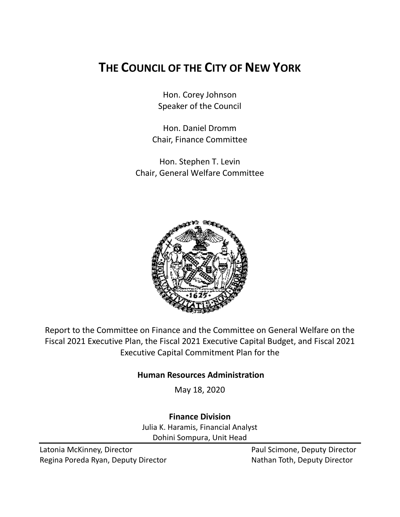# **THE COUNCIL OF THE CITY OF NEW YORK**

Hon. Corey Johnson Speaker of the Council

Hon. Daniel Dromm Chair, Finance Committee

Hon. Stephen T. Levin Chair, General Welfare Committee



Report to the Committee on Finance and the Committee on General Welfare on the Fiscal 2021 Executive Plan, the Fiscal 2021 Executive Capital Budget, and Fiscal 2021 Executive Capital Commitment Plan for the

# **Human Resources Administration**

May 18, 2020

**Finance Division**

Julia K. Haramis, Financial Analyst Dohini Sompura, Unit Head

Latonia McKinney, Director **Paul Scimone, Deputy Director** Paul Scimone, Deputy Director Regina Poreda Ryan, Deputy Director Nathan Toth, Deputy Director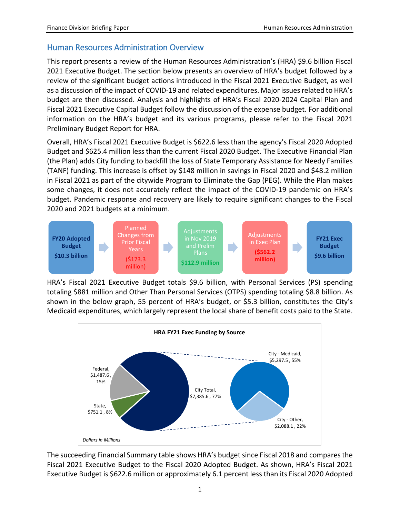# Human Resources Administration Overview

This report presents a review of the Human Resources Administration's (HRA) \$9.6 billion Fiscal 2021 Executive Budget. The section below presents an overview of HRA's budget followed by a review of the significant budget actions introduced in the Fiscal 2021 Executive Budget, as well as a discussion of the impact of COVID-19 and related expenditures. Major issues related to HRA's budget are then discussed. Analysis and highlights of HRA's Fiscal 2020-2024 Capital Plan and Fiscal 2021 Executive Capital Budget follow the discussion of the expense budget. For additional information on the HRA's budget and its various programs, please refer to the Fiscal 2021 Preliminary Budget Report for HRA.

Overall, HRA's Fiscal 2021 Executive Budget is \$622.6 less than the agency's Fiscal 2020 Adopted Budget and \$625.4 million less than the current Fiscal 2020 Budget. The Executive Financial Plan (the Plan) adds City funding to backfill the loss of State Temporary Assistance for Needy Families (TANF) funding. This increase is offset by \$148 million in savings in Fiscal 2020 and \$48.2 million in Fiscal 2021 as part of the citywide Program to Eliminate the Gap (PEG). While the Plan makes some changes, it does not accurately reflect the impact of the COVID-19 pandemic on HRA's budget. Pandemic response and recovery are likely to require significant changes to the Fiscal 2020 and 2021 budgets at a minimum.



HRA's Fiscal 2021 Executive Budget totals \$9.6 billion, with Personal Services (PS) spending totaling \$881 million and Other Than Personal Services (OTPS) spending totaling \$8.8 billion. As shown in the below graph, 55 percent of HRA's budget, or \$5.3 billion, constitutes the City's Medicaid expenditures, which largely represent the local share of benefit costs paid to the State.



The succeeding Financial Summary table shows HRA's budget since Fiscal 2018 and compares the Fiscal 2021 Executive Budget to the Fiscal 2020 Adopted Budget. As shown, HRA's Fiscal 2021 Executive Budget is \$622.6 million or approximately 6.1 percent less than its Fiscal 2020 Adopted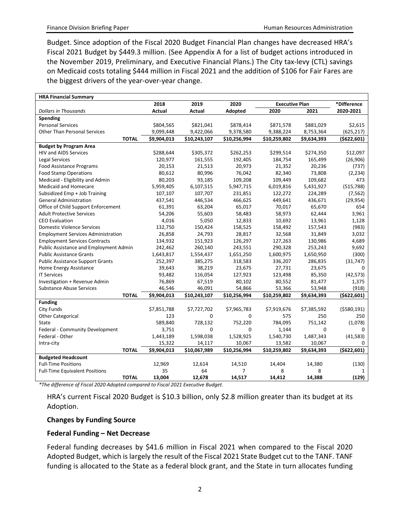Budget. Since adoption of the Fiscal 2020 Budget Financial Plan changes have decreased HRA's Fiscal 2021 Budget by \$449.3 million. (See Appendix A for a list of budget actions introduced in the November 2019, Preliminary, and Executive Financial Plans.) The City tax-levy (CTL) savings on Medicaid costs totaling \$444 million in Fiscal 2021 and the addition of \$106 for Fair Fares are the biggest drivers of the year-over-year change.

| <b>HRA Financial Summary</b>              |             |              |              |                       |             |               |
|-------------------------------------------|-------------|--------------|--------------|-----------------------|-------------|---------------|
|                                           | 2018        | 2019         | 2020         | <b>Executive Plan</b> |             | *Difference   |
| <b>Dollars in Thousands</b>               | Actual      | Actual       | Adopted      | 2020                  | 2021        | 2020-2021     |
| Spending                                  |             |              |              |                       |             |               |
| <b>Personal Services</b>                  | \$804,565   | \$821,041    | \$878,414    | \$871,578             | \$881,029   | \$2,615       |
| <b>Other Than Personal Services</b>       | 9,099,448   | 9,422,066    | 9,378,580    | 9,388,224             | 8,753,364   | (625, 217)    |
| <b>TOTAL</b>                              | \$9,904,013 | \$10,243,107 | \$10,256,994 | \$10,259,802          | \$9,634,393 | (5622, 601)   |
| <b>Budget by Program Area</b>             |             |              |              |                       |             |               |
| <b>HIV and AIDS Services</b>              | \$288,644   | \$305,372    | \$262,253    | \$299,514             | \$274,350   | \$12,097      |
| Legal Services                            | 120,977     | 161,555      | 192,405      | 184,754               | 165,499     | (26, 906)     |
| <b>Food Assistance Programs</b>           | 20,153      | 21,513       | 20,973       | 21,352                | 20,236      | (737)         |
| <b>Food Stamp Operations</b>              | 80,612      | 80,996       | 76,042       | 82,340                | 73,808      | (2, 234)      |
| Medicaid - Eligibility and Admin          | 80,203      | 93,185       | 109,208      | 109,449               | 109,682     | 473           |
| <b>Medicaid and Homecare</b>              | 5,959,405   | 6,107,515    | 5,947,715    | 6,019,816             | 5,431,927   | (515, 788)    |
| Subsidized Emp + Job Training             | 107,107     | 107,707      | 231,851      | 122,272               | 224,289     | (7, 562)      |
| <b>General Administration</b>             | 437,541     | 446,534      | 466,625      | 449,641               | 436,671     | (29, 954)     |
| Office of Child Support Enforcement       | 61,391      | 63,204       | 65,017       | 70,017                | 65,670      | 654           |
| <b>Adult Protective Services</b>          | 54,206      | 55,603       | 58,483       | 58,973                | 62,444      | 3,961         |
| <b>CEO Evaluation</b>                     | 4,016       | 5,050        | 12,833       | 10,692                | 13,961      | 1,128         |
| <b>Domestic Violence Services</b>         | 132,750     | 150,424      | 158,525      | 158,492               | 157,543     | (983)         |
| <b>Employment Services Administration</b> | 26,858      | 24,793       | 28,817       | 32,568                | 31,849      | 3,032         |
| <b>Employment Services Contracts</b>      | 134,932     | 151,923      | 126,297      | 127,263               | 130,986     | 4,689         |
| Public Assistance and Employment Admin    | 242,462     | 260,140      | 243,551      | 290,328               | 253,243     | 9,692         |
| <b>Public Assistance Grants</b>           | 1,643,817   | 1,554,437    | 1,651,250    | 1,600,975             | 1,650,950   | (300)         |
| <b>Public Assistance Support Grants</b>   | 252,397     | 385,275      | 318,583      | 336,207               | 286,835     | (31, 747)     |
| Home Energy Assistance                    | 39,643      | 38,219       | 23,675       | 27,731                | 23,675      | $\Omega$      |
| <b>IT Services</b>                        | 93,482      | 116,054      | 127,923      | 123,498               | 85,350      | (42, 573)     |
| Investigation + Revenue Admin             | 76,869      | 67,519       | 80,102       | 80,552                | 81,477      | 1,375         |
| <b>Substance Abuse Services</b>           | 46,546      | 46,091       | 54,866       | 53,366                | 53,948      | (918)         |
| <b>TOTAL</b>                              | \$9,904,013 | \$10,243,107 | \$10,256,994 | \$10,259,802          | \$9,634,393 | ( \$622, 601) |
| <b>Funding</b>                            |             |              |              |                       |             |               |
| City Funds                                | \$7,851,788 | \$7,727,702  | \$7,965,783  | \$7,919,676           | \$7,385,592 | ( \$580, 191) |
| <b>Other Categorical</b>                  | 123         | 0            | 0            | 575                   | 250         | 250           |
| State                                     | 589,840     | 728,132      | 752,220      | 784,095               | 751,142     | (1,078)       |
| Federal - Community Development           | 3,751       | 0            | 0            | 1,144                 | $\Omega$    | O             |
| Federal - Other                           | 1,443,189   | 1,598,038    | 1,528,925    | 1,540,730             | 1,487,343   | (41, 583)     |
| Intra-city                                | 15,322      | 14,117       | 10,067       | 13,582                | 10,067      | 0             |
| <b>TOTAL</b>                              | \$9,904,013 | \$10,067,989 | \$10,256,994 | \$10,259,802          | \$9,634,393 | ( \$622, 601) |
| <b>Budgeted Headcount</b>                 |             |              |              |                       |             |               |
| <b>Full-Time Positions</b>                | 12,969      | 12,614       | 14,510       | 14,404                | 14,380      | (130)         |
| <b>Full-Time Equivalent Positions</b>     | 35          | 64           | 7            | 8                     | 8           | 1             |
| <b>TOTAL</b>                              | 13,004      | 12,678       | 14,517       | 14,412                | 14,388      | (129)         |

*\*The difference of Fiscal 2020 Adopted compared to Fiscal 2021 Executive Budget.*

HRA's current Fiscal 2020 Budget is \$10.3 billion, only \$2.8 million greater than its budget at its Adoption.

#### **Changes by Funding Source**

#### **Federal Funding – Net Decrease**

Federal funding decreases by \$41.6 million in Fiscal 2021 when compared to the Fiscal 2020 Adopted Budget, which is largely the result of the Fiscal 2021 State Budget cut to the TANF. TANF funding is allocated to the State as a federal block grant, and the State in turn allocates funding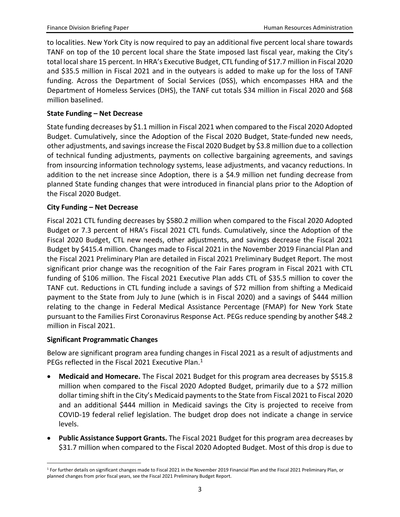to localities. New York City is now required to pay an additional five percent local share towards TANF on top of the 10 percent local share the State imposed last fiscal year, making the City's total local share 15 percent. In HRA's Executive Budget, CTL funding of \$17.7 million in Fiscal 2020 and \$35.5 million in Fiscal 2021 and in the outyears is added to make up for the loss of TANF funding. Across the Department of Social Services (DSS), which encompasses HRA and the Department of Homeless Services (DHS), the TANF cut totals \$34 million in Fiscal 2020 and \$68 million baselined.

#### **State Funding – Net Decrease**

State funding decreases by \$1.1 million in Fiscal 2021 when compared to the Fiscal 2020 Adopted Budget. Cumulatively, since the Adoption of the Fiscal 2020 Budget, State-funded new needs, other adjustments, and savings increase the Fiscal 2020 Budget by \$3.8 million due to a collection of technical funding adjustments, payments on collective bargaining agreements, and savings from insourcing information technology systems, lease adjustments, and vacancy reductions. In addition to the net increase since Adoption, there is a \$4.9 million net funding decrease from planned State funding changes that were introduced in financial plans prior to the Adoption of the Fiscal 2020 Budget.

#### **City Funding – Net Decrease**

Fiscal 2021 CTL funding decreases by \$580.2 million when compared to the Fiscal 2020 Adopted Budget or 7.3 percent of HRA's Fiscal 2021 CTL funds. Cumulatively, since the Adoption of the Fiscal 2020 Budget, CTL new needs, other adjustments, and savings decrease the Fiscal 2021 Budget by \$415.4 million. Changes made to Fiscal 2021 in the November 2019 Financial Plan and the Fiscal 2021 Preliminary Plan are detailed in Fiscal 2021 Preliminary Budget Report. The most significant prior change was the recognition of the Fair Fares program in Fiscal 2021 with CTL funding of \$106 million. The Fiscal 2021 Executive Plan adds CTL of \$35.5 million to cover the TANF cut. Reductions in CTL funding include a savings of \$72 million from shifting a Medicaid payment to the State from July to June (which is in Fiscal 2020) and a savings of \$444 million relating to the change in Federal Medical Assistance Percentage (FMAP) for New York State pursuant to the Families First Coronavirus Response Act. PEGs reduce spending by another \$48.2 million in Fiscal 2021.

#### **Significant Programmatic Changes**

Below are significant program area funding changes in Fiscal 2021 as a result of adjustments and PEGs reflected in the Fiscal 202[1](#page-3-0) Executive Plan.<sup>1</sup>

- **Medicaid and Homecare.** The Fiscal 2021 Budget for this program area decreases by \$515.8 million when compared to the Fiscal 2020 Adopted Budget, primarily due to a \$72 million dollar timing shift in the City's Medicaid payments to the State from Fiscal 2021 to Fiscal 2020 and an additional \$444 million in Medicaid savings the City is projected to receive from COVID-19 federal relief legislation. The budget drop does not indicate a change in service levels.
- **Public Assistance Support Grants.** The Fiscal 2021 Budget for this program area decreases by \$31.7 million when compared to the Fiscal 2020 Adopted Budget. Most of this drop is due to

<span id="page-3-0"></span><sup>&</sup>lt;sup>1</sup> For further details on significant changes made to Fiscal 2021 in the November 2019 Financial Plan and the Fiscal 2021 Preliminary Plan, or planned changes from prior fiscal years, see the Fiscal 2021 Preliminary Budget Report.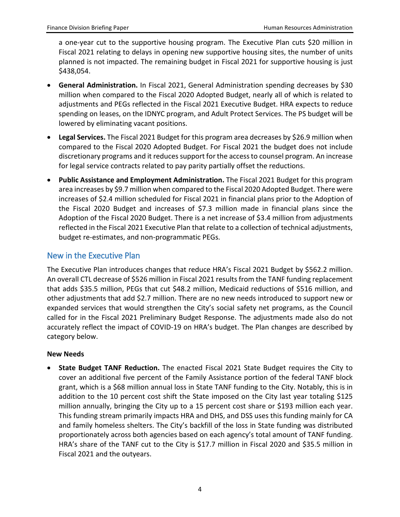a one-year cut to the supportive housing program. The Executive Plan cuts \$20 million in Fiscal 2021 relating to delays in opening new supportive housing sites, the number of units planned is not impacted. The remaining budget in Fiscal 2021 for supportive housing is just \$438,054.

- **General Administration.** In Fiscal 2021, General Administration spending decreases by \$30 million when compared to the Fiscal 2020 Adopted Budget, nearly all of which is related to adjustments and PEGs reflected in the Fiscal 2021 Executive Budget. HRA expects to reduce spending on leases, on the IDNYC program, and Adult Protect Services. The PS budget will be lowered by eliminating vacant positions.
- **Legal Services.** The Fiscal 2021 Budget for this program area decreases by \$26.9 million when compared to the Fiscal 2020 Adopted Budget. For Fiscal 2021 the budget does not include discretionary programs and it reduces support for the access to counsel program. An increase for legal service contracts related to pay parity partially offset the reductions.
- **Public Assistance and Employment Administration.** The Fiscal 2021 Budget for this program area increases by \$9.7 million when compared to the Fiscal 2020 Adopted Budget. There were increases of \$2.4 million scheduled for Fiscal 2021 in financial plans prior to the Adoption of the Fiscal 2020 Budget and increases of \$7.3 million made in financial plans since the Adoption of the Fiscal 2020 Budget. There is a net increase of \$3.4 million from adjustments reflected in the Fiscal 2021 Executive Plan that relate to a collection of technical adjustments, budget re-estimates, and non-programmatic PEGs.

# New in the Executive Plan

The Executive Plan introduces changes that reduce HRA's Fiscal 2021 Budget by \$562.2 million. An overall CTL decrease of \$526 million in Fiscal 2021 results from the TANF funding replacement that adds \$35.5 million, PEGs that cut \$48.2 million, Medicaid reductions of \$516 million, and other adjustments that add \$2.7 million. There are no new needs introduced to support new or expanded services that would strengthen the City's social safety net programs, as the Council called for in the Fiscal 2021 Preliminary Budget Response. The adjustments made also do not accurately reflect the impact of COVID-19 on HRA's budget. The Plan changes are described by category below.

#### **New Needs**

• **State Budget TANF Reduction.** The enacted Fiscal 2021 State Budget requires the City to cover an additional five percent of the Family Assistance portion of the federal TANF block grant, which is a \$68 million annual loss in State TANF funding to the City. Notably, this is in addition to the 10 percent cost shift the State imposed on the City last year totaling \$125 million annually, bringing the City up to a 15 percent cost share or \$193 million each year. This funding stream primarily impacts HRA and DHS, and DSS uses this funding mainly for CA and family homeless shelters. The City's backfill of the loss in State funding was distributed proportionately across both agencies based on each agency's total amount of TANF funding. HRA's share of the TANF cut to the City is \$17.7 million in Fiscal 2020 and \$35.5 million in Fiscal 2021 and the outyears.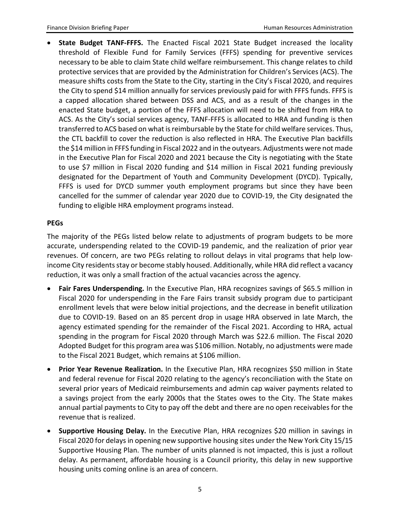• **State Budget TANF-FFFS.** The Enacted Fiscal 2021 State Budget increased the locality threshold of Flexible Fund for Family Services (FFFS) spending for preventive services necessary to be able to claim State child welfare reimbursement. This change relates to child protective services that are provided by the Administration for Children's Services (ACS). The measure shifts costs from the State to the City, starting in the City's Fiscal 2020, and requires the City to spend \$14 million annually for services previously paid for with FFFS funds. FFFS is a capped allocation shared between DSS and ACS, and as a result of the changes in the enacted State budget, a portion of the FFFS allocation will need to be shifted from HRA to ACS. As the City's social services agency, TANF-FFFS is allocated to HRA and funding is then transferred to ACS based on what is reimbursable by the State for child welfare services. Thus, the CTL backfill to cover the reduction is also reflected in HRA. The Executive Plan backfills the \$14 million in FFFS funding in Fiscal 2022 and in the outyears. Adjustments were not made in the Executive Plan for Fiscal 2020 and 2021 because the City is negotiating with the State to use \$7 million in Fiscal 2020 funding and \$14 million in Fiscal 2021 funding previously designated for the Department of Youth and Community Development (DYCD). Typically, FFFS is used for DYCD summer youth employment programs but since they have been cancelled for the summer of calendar year 2020 due to COVID-19, the City designated the funding to eligible HRA employment programs instead.

#### **PEGs**

The majority of the PEGs listed below relate to adjustments of program budgets to be more accurate, underspending related to the COVID-19 pandemic, and the realization of prior year revenues. Of concern, are two PEGs relating to rollout delays in vital programs that help lowincome City residents stay or become stably housed. Additionally, while HRA did reflect a vacancy reduction, it was only a small fraction of the actual vacancies across the agency.

- **Fair Fares Underspending.** In the Executive Plan, HRA recognizes savings of \$65.5 million in Fiscal 2020 for underspending in the Fare Fairs transit subsidy program due to participant enrollment levels that were below initial projections, and the decrease in benefit utilization due to COVID-19. Based on an 85 percent drop in usage HRA observed in late March, the agency estimated spending for the remainder of the Fiscal 2021. According to HRA, actual spending in the program for Fiscal 2020 through March was \$22.6 million. The Fiscal 2020 Adopted Budget for this program area was \$106 million. Notably, no adjustments were made to the Fiscal 2021 Budget, which remains at \$106 million.
- **Prior Year Revenue Realization.** In the Executive Plan, HRA recognizes \$50 million in State and federal revenue for Fiscal 2020 relating to the agency's reconciliation with the State on several prior years of Medicaid reimbursements and admin cap waiver payments related to a savings project from the early 2000s that the States owes to the City. The State makes annual partial payments to City to pay off the debt and there are no open receivables for the revenue that is realized.
- **Supportive Housing Delay.** In the Executive Plan, HRA recognizes \$20 million in savings in Fiscal 2020 for delays in opening new supportive housing sites under the New York City 15/15 Supportive Housing Plan. The number of units planned is not impacted, this is just a rollout delay. As permanent, affordable housing is a Council priority, this delay in new supportive housing units coming online is an area of concern.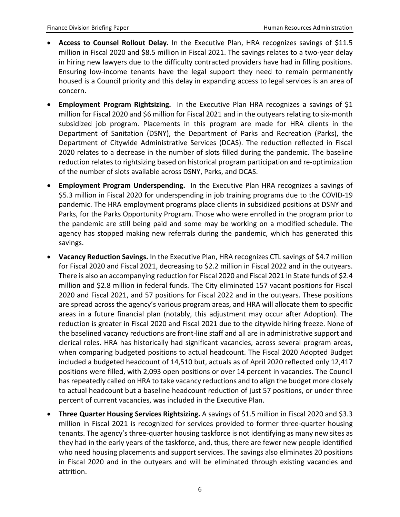- **Access to Counsel Rollout Delay.** In the Executive Plan, HRA recognizes savings of \$11.5 million in Fiscal 2020 and \$8.5 million in Fiscal 2021. The savings relates to a two-year delay in hiring new lawyers due to the difficulty contracted providers have had in filling positions. Ensuring low-income tenants have the legal support they need to remain permanently housed is a Council priority and this delay in expanding access to legal services is an area of concern.
- **Employment Program Rightsizing.** In the Executive Plan HRA recognizes a savings of \$1 million for Fiscal 2020 and \$6 million for Fiscal 2021 and in the outyears relating to six-month subsidized job program. Placements in this program are made for HRA clients in the Department of Sanitation (DSNY), the Department of Parks and Recreation (Parks), the Department of Citywide Administrative Services (DCAS). The reduction reflected in Fiscal 2020 relates to a decrease in the number of slots filled during the pandemic. The baseline reduction relates to rightsizing based on historical program participation and re-optimization of the number of slots available across DSNY, Parks, and DCAS.
- **Employment Program Underspending.** In the Executive Plan HRA recognizes a savings of \$5.3 million in Fiscal 2020 for underspending in job training programs due to the COVID-19 pandemic. The HRA employment programs place clients in subsidized positions at DSNY and Parks, for the Parks Opportunity Program. Those who were enrolled in the program prior to the pandemic are still being paid and some may be working on a modified schedule. The agency has stopped making new referrals during the pandemic, which has generated this savings.
- **Vacancy Reduction Savings.** In the Executive Plan, HRA recognizes CTL savings of \$4.7 million for Fiscal 2020 and Fiscal 2021, decreasing to \$2.2 million in Fiscal 2022 and in the outyears. There is also an accompanying reduction for Fiscal 2020 and Fiscal 2021 in State funds of \$2.4 million and \$2.8 million in federal funds. The City eliminated 157 vacant positions for Fiscal 2020 and Fiscal 2021, and 57 positions for Fiscal 2022 and in the outyears. These positions are spread across the agency's various program areas, and HRA will allocate them to specific areas in a future financial plan (notably, this adjustment may occur after Adoption). The reduction is greater in Fiscal 2020 and Fiscal 2021 due to the citywide hiring freeze. None of the baselined vacancy reductions are front-line staff and all are in administrative support and clerical roles. HRA has historically had significant vacancies, across several program areas, when comparing budgeted positions to actual headcount. The Fiscal 2020 Adopted Budget included a budgeted headcount of 14,510 but, actuals as of April 2020 reflected only 12,417 positions were filled, with 2,093 open positions or over 14 percent in vacancies. The Council has repeatedly called on HRA to take vacancy reductions and to align the budget more closely to actual headcount but a baseline headcount reduction of just 57 positions, or under three percent of current vacancies, was included in the Executive Plan.
- **Three Quarter Housing Services Rightsizing.** A savings of \$1.5 million in Fiscal 2020 and \$3.3 million in Fiscal 2021 is recognized for services provided to former three-quarter housing tenants. The agency's three-quarter housing taskforce is not identifying as many new sites as they had in the early years of the taskforce, and, thus, there are fewer new people identified who need housing placements and support services. The savings also eliminates 20 positions in Fiscal 2020 and in the outyears and will be eliminated through existing vacancies and attrition.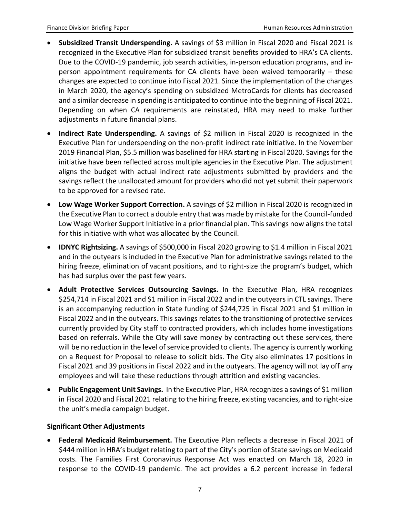- **Subsidized Transit Underspending.** A savings of \$3 million in Fiscal 2020 and Fiscal 2021 is recognized in the Executive Plan for subsidized transit benefits provided to HRA's CA clients. Due to the COVID-19 pandemic, job search activities, in-person education programs, and inperson appointment requirements for CA clients have been waived temporarily – these changes are expected to continue into Fiscal 2021. Since the implementation of the changes in March 2020, the agency's spending on subsidized MetroCards for clients has decreased and a similar decrease in spending is anticipated to continue into the beginning of Fiscal 2021. Depending on when CA requirements are reinstated, HRA may need to make further adjustments in future financial plans.
- **Indirect Rate Underspending.** A savings of \$2 million in Fiscal 2020 is recognized in the Executive Plan for underspending on the non-profit indirect rate initiative. In the November 2019 Financial Plan, \$5.5 million was baselined for HRA starting in Fiscal 2020. Savings for the initiative have been reflected across multiple agencies in the Executive Plan. The adjustment aligns the budget with actual indirect rate adjustments submitted by providers and the savings reflect the unallocated amount for providers who did not yet submit their paperwork to be approved for a revised rate.
- **Low Wage Worker Support Correction.** A savings of \$2 million in Fiscal 2020 is recognized in the Executive Plan to correct a double entry that was made by mistake for the Council-funded Low Wage Worker Support Initiative in a prior financial plan. This savings now aligns the total for this initiative with what was allocated by the Council.
- **IDNYC Rightsizing.** A savings of \$500,000 in Fiscal 2020 growing to \$1.4 million in Fiscal 2021 and in the outyears is included in the Executive Plan for administrative savings related to the hiring freeze, elimination of vacant positions, and to right-size the program's budget, which has had surplus over the past few years.
- **Adult Protective Services Outsourcing Savings.** In the Executive Plan, HRA recognizes \$254,714 in Fiscal 2021 and \$1 million in Fiscal 2022 and in the outyears in CTL savings. There is an accompanying reduction in State funding of \$244,725 in Fiscal 2021 and \$1 million in Fiscal 2022 and in the outyears. This savings relates to the transitioning of protective services currently provided by City staff to contracted providers, which includes home investigations based on referrals. While the City will save money by contracting out these services, there will be no reduction in the level of service provided to clients. The agency is currently working on a Request for Proposal to release to solicit bids. The City also eliminates 17 positions in Fiscal 2021 and 39 positions in Fiscal 2022 and in the outyears. The agency will not lay off any employees and will take these reductions through attrition and existing vacancies.
- **Public Engagement Unit Savings.** In the Executive Plan, HRA recognizes a savings of \$1 million in Fiscal 2020 and Fiscal 2021 relating to the hiring freeze, existing vacancies, and to right-size the unit's media campaign budget.

#### **Significant Other Adjustments**

• **Federal Medicaid Reimbursement.** The Executive Plan reflects a decrease in Fiscal 2021 of \$444 million in HRA's budget relating to part of the City's portion of State savings on Medicaid costs. The Families First Coronavirus Response Act was enacted on March 18, 2020 in response to the COVID-19 pandemic. The act provides a 6.2 percent increase in federal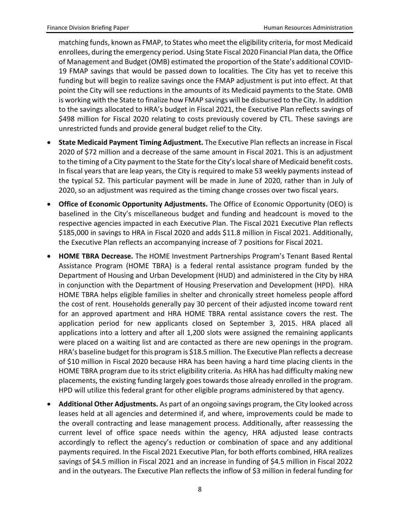matching funds, known as FMAP, to States who meet the eligibility criteria, for most Medicaid enrollees, during the emergency period. Using State Fiscal 2020 Financial Plan data, the Office of Management and Budget (OMB) estimated the proportion of the State's additional COVID-19 FMAP savings that would be passed down to localities. The City has yet to receive this funding but will begin to realize savings once the FMAP adjustment is put into effect. At that point the City will see reductions in the amounts of its Medicaid payments to the State. OMB is working with the State to finalize how FMAP savings will be disbursed to the City. In addition to the savings allocated to HRA's budget in Fiscal 2021, the Executive Plan reflects savings of \$498 million for Fiscal 2020 relating to costs previously covered by CTL. These savings are unrestricted funds and provide general budget relief to the City.

- **State Medicaid Payment Timing Adjustment.** The Executive Plan reflects an increase in Fiscal 2020 of \$72 million and a decrease of the same amount in Fiscal 2021. This is an adjustment to the timing of a City payment to the State for the City's local share of Medicaid benefit costs. In fiscal years that are leap years, the City is required to make 53 weekly payments instead of the typical 52. This particular payment will be made in June of 2020, rather than in July of 2020, so an adjustment was required as the timing change crosses over two fiscal years.
- **Office of Economic Opportunity Adjustments.** The Office of Economic Opportunity (OEO) is baselined in the City's miscellaneous budget and funding and headcount is moved to the respective agencies impacted in each Executive Plan. The Fiscal 2021 Executive Plan reflects \$185,000 in savings to HRA in Fiscal 2020 and adds \$11.8 million in Fiscal 2021. Additionally, the Executive Plan reflects an accompanying increase of 7 positions for Fiscal 2021.
- **HOME TBRA Decrease.** The HOME Investment Partnerships Program's Tenant Based Rental Assistance Program (HOME TBRA) is a federal rental assistance program funded by the Department of Housing and Urban Development (HUD) and administered in the City by HRA in conjunction with the Department of Housing Preservation and Development (HPD). HRA HOME TBRA helps eligible families in shelter and chronically street homeless people afford the cost of rent. Households generally pay 30 percent of their adjusted income toward rent for an approved apartment and HRA HOME TBRA rental assistance covers the rest. The application period for new applicants closed on September 3, 2015. HRA placed all applications into a lottery and after all 1,200 slots were assigned the remaining applicants were placed on a waiting list and are contacted as there are new openings in the program. HRA's baseline budget for this program is \$18.5 million. The Executive Plan reflects a decrease of \$10 million in Fiscal 2020 because HRA has been having a hard time placing clients in the HOME TBRA program due to its strict eligibility criteria. As HRA has had difficulty making new placements, the existing funding largely goes towards those already enrolled in the program. HPD will utilize this federal grant for other eligible programs administered by that agency.
- **Additional Other Adjustments.** As part of an ongoing savings program, the City looked across leases held at all agencies and determined if, and where, improvements could be made to the overall contracting and lease management process. Additionally, after reassessing the current level of office space needs within the agency, HRA adjusted lease contracts accordingly to reflect the agency's reduction or combination of space and any additional payments required. In the Fiscal 2021 Executive Plan, for both efforts combined, HRA realizes savings of \$4.5 million in Fiscal 2021 and an increase in funding of \$4.5 million in Fiscal 2022 and in the outyears. The Executive Plan reflects the inflow of \$3 million in federal funding for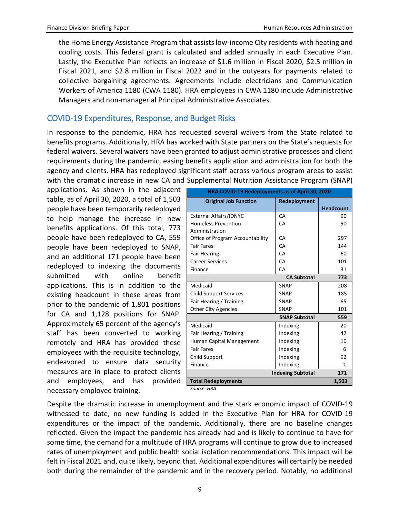the Home Energy Assistance Program that assists low-income City residents with heating and cooling costs. This federal grant is calculated and added annually in each Executive Plan. Lastly, the Executive Plan reflects an increase of \$1.6 million in Fiscal 2020, \$2.5 million in Fiscal 2021, and \$2.8 million in Fiscal 2022 and in the outyears for payments related to collective bargaining agreements. Agreements include electricians and Communication Workers of America 1180 (CWA 1180). HRA employees in CWA 1180 include Administrative Managers and non-managerial Principal Administrative Associates.

# COVID-19 Expenditures, Response, and Budget Risks

In response to the pandemic, HRA has requested several waivers from the State related to benefits programs. Additionally, HRA has worked with State partners on the State's requests for federal waivers. Several waivers have been granted to adjust administrative processes and client requirements during the pandemic, easing benefits application and administration for both the agency and clients. HRA has redeployed significant staff across various program areas to assist with the dramatic increase in new CA and Supplemental Nutrition Assistance Program (SNAP)

applications. As shown in the adjacent table, as of April 30, 2020, a total of 1,503 people have been temporarily redeployed to help manage the increase in new benefits applications. Of this total, 773 people have been redeployed to CA, 559 people have been redeployed to SNAP, and an additional 171 people have been redeployed to indexing the documents submitted with online benefit applications. This is in addition to the existing headcount in these areas from prior to the pandemic of 1,801 positions for CA and 1,128 positions for SNAP. Approximately 65 percent of the agency's staff has been converted to working remotely and HRA has provided these employees with the requisite technology, endeavored to ensure data security measures are in place to protect clients and employees, and has provided necessary employee training.

| HRA COVID-19 Redeployments as of April 30, 2020 |                          |                  |  |  |  |  |
|-------------------------------------------------|--------------------------|------------------|--|--|--|--|
| <b>Original Job Function</b>                    | Redeployment             |                  |  |  |  |  |
|                                                 |                          | <b>Headcount</b> |  |  |  |  |
| <b>External Affairs/IDNYC</b>                   | CA                       | 90               |  |  |  |  |
| <b>Homeless Prevention</b>                      | CA                       | 50               |  |  |  |  |
| Administration                                  |                          |                  |  |  |  |  |
| Office of Program Accountability                | CA                       | 297              |  |  |  |  |
| <b>Fair Fares</b>                               | CA                       | 144              |  |  |  |  |
| <b>Fair Hearing</b>                             | CA                       | 60               |  |  |  |  |
| <b>Career Services</b>                          | CA                       | 101              |  |  |  |  |
| Finance                                         | CA                       | 31               |  |  |  |  |
|                                                 | <b>CA Subtotal</b>       | 773              |  |  |  |  |
| Medicaid                                        | <b>SNAP</b>              | 208              |  |  |  |  |
| <b>Child Support Services</b>                   | <b>SNAP</b>              | 185              |  |  |  |  |
| Fair Hearing / Training                         | <b>SNAP</b>              | 65               |  |  |  |  |
| <b>Other City Agencies</b>                      | <b>SNAP</b>              | 101              |  |  |  |  |
|                                                 | <b>SNAP Subtotal</b>     | 559              |  |  |  |  |
| Medicaid                                        | Indexing                 | 20               |  |  |  |  |
| Fair Hearing / Training                         | Indexing                 | 42               |  |  |  |  |
| Human Capital Management                        | Indexing                 | 10               |  |  |  |  |
| <b>Fair Fares</b>                               | Indexing                 | 6                |  |  |  |  |
| Child Support                                   | Indexing                 | 92               |  |  |  |  |
| Finance                                         | Indexing                 | 1                |  |  |  |  |
|                                                 | <b>Indexing Subtotal</b> | 171              |  |  |  |  |
| <b>Total Redeployments</b>                      |                          | 1,503            |  |  |  |  |

*Source: HRA*

Despite the dramatic increase in unemployment and the stark economic impact of COVID-19 witnessed to date, no new funding is added in the Executive Plan for HRA for COVID-19 expenditures or the impact of the pandemic. Additionally, there are no baseline changes reflected. Given the impact the pandemic has already had and is likely to continue to have for some time, the demand for a multitude of HRA programs will continue to grow due to increased rates of unemployment and public health social isolation recommendations. This impact will be felt in Fiscal 2021 and, quite likely, beyond that. Additional expenditures will certainly be needed both during the remainder of the pandemic and in the recovery period. Notably, no additional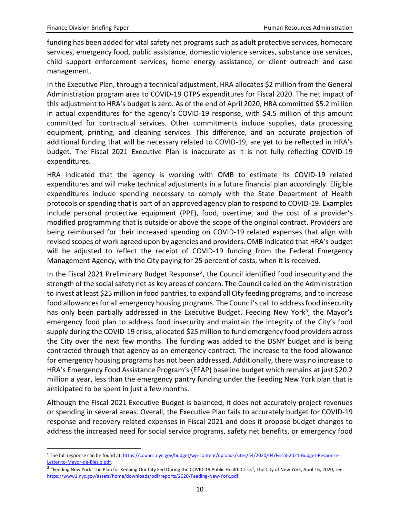funding has been added for vital safety net programs such as adult protective services, homecare services, emergency food, public assistance, domestic violence services, substance use services, child support enforcement services, home energy assistance, or client outreach and case management.

In the Executive Plan, through a technical adjustment, HRA allocates \$2 million from the General Administration program area to COVID-19 OTPS expenditures for Fiscal 2020. The net impact of this adjustment to HRA's budget is zero. As of the end of April 2020, HRA committed \$5.2 million in actual expenditures for the agency's COVID-19 response, with \$4.5 million of this amount committed for contractual services. Other commitments include supplies, data processing equipment, printing, and cleaning services. This difference, and an accurate projection of additional funding that will be necessary related to COVID-19, are yet to be reflected in HRA's budget. The Fiscal 2021 Executive Plan is inaccurate as it is not fully reflecting COVID-19 expenditures.

HRA indicated that the agency is working with OMB to estimate its COVID-19 related expenditures and will make technical adjustments in a future financial plan accordingly. Eligible expenditures include spending necessary to comply with the State Department of Health protocols or spending that is part of an approved agency plan to respond to COVID-19. Examples include personal protective equipment (PPE), food, overtime, and the cost of a provider's modified programming that is outside or above the scope of the original contract. Providers are being reimbursed for their increased spending on COVID-19 related expenses that align with revised scopes of work agreed upon by agencies and providers. OMB indicated that HRA's budget will be adjusted to reflect the receipt of COVID-19 funding from the Federal Emergency Management Agency, with the City paying for 25 percent of costs, when it is received.

In the Fiscal [2](#page-10-0)021 Preliminary Budget Response<sup>2</sup>, the Council identified food insecurity and the strength of the social safety net as key areas of concern. The Council called on the Administration to invest at least \$25 million in food pantries, to expand all City feeding programs, and to increase food allowances for all emergency housing programs. The Council's call to address food insecurity has only been partially addressed in the Executive Budget. Feeding New York<sup>[3](#page-10-1)</sup>, the Mayor's emergency food plan to address food insecurity and maintain the integrity of the City's food supply during the COVID-19 crisis, allocated \$25 million to fund emergency food providers across the City over the next few months. The funding was added to the DSNY budget and is being contracted through that agency as an emergency contract. The increase to the food allowance for emergency housing programs has not been addressed. Additionally, there was no increase to HRA's Emergency Food Assistance Program's (EFAP) baseline budget which remains at just \$20.2 million a year, less than the emergency pantry funding under the Feeding New York plan that is anticipated to be spent in just a few months.

Although the Fiscal 2021 Executive Budget is balanced, it does not accurately project revenues or spending in several areas. Overall, the Executive Plan fails to accurately budget for COVID-19 response and recovery related expenses in Fiscal 2021 and does it propose budget changes to address the increased need for social service programs, safety net benefits, or emergency food

<span id="page-10-0"></span><sup>&</sup>lt;sup>2</sup> The full response can be found at[: https://council.nyc.gov/budget/wp-content/uploads/sites/54/2020/04/Fiscal-2021-Budget-Response-](https://council.nyc.gov/budget/wp-content/uploads/sites/54/2020/04/Fiscal-2021-Budget-Response-Letter-to-Mayor-de-Blasio.pdf)[Letter-to-Mayor-de-Blasio.pdf.](https://council.nyc.gov/budget/wp-content/uploads/sites/54/2020/04/Fiscal-2021-Budget-Response-Letter-to-Mayor-de-Blasio.pdf) 

<span id="page-10-1"></span><sup>3</sup> "Feeding New York: The Plan for Keeping Our City Fed During the COVID-19 Public Health Crisis", The City of New York, April 16, 2020, *see*: [https://www1.nyc.gov/assets/home/downloads/pdf/reports/2020/Feeding-New-York.pdf.](https://www1.nyc.gov/assets/home/downloads/pdf/reports/2020/Feeding-New-York.pdf)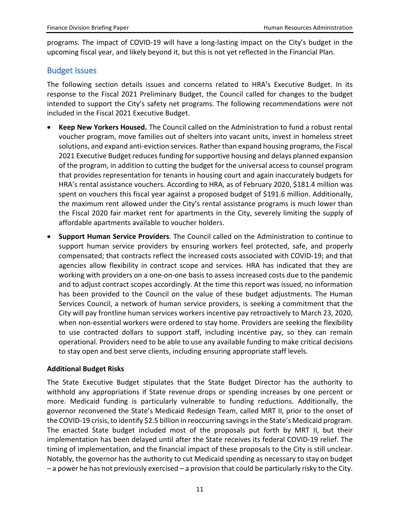programs. The impact of COVID-19 will have a long-lasting impact on the City's budget in the upcoming fiscal year, and likely beyond it, but this is not yet reflected in the Financial Plan.

#### Budget Issues

The following section details issues and concerns related to HRA's Executive Budget. In its response to the Fiscal 2021 Preliminary Budget, the Council called for changes to the budget intended to support the City's safety net programs. The following recommendations were not included in the Fiscal 2021 Executive Budget.

- **Keep New Yorkers Housed.** The Council called on the Administration to fund a robust rental voucher program, move families out of shelters into vacant units, invest in homeless street solutions, and expand anti-eviction services. Rather than expand housing programs, the Fiscal 2021 Executive Budget reduces funding for supportive housing and delays planned expansion of the program, in addition to cutting the budget for the universal access to counsel program that provides representation for tenants in housing court and again inaccurately budgets for HRA's rental assistance vouchers. According to HRA, as of February 2020, \$181.4 million was spent on vouchers this fiscal year against a proposed budget of \$191.6 million. Additionally, the maximum rent allowed under the City's rental assistance programs is much lower than the Fiscal 2020 fair market rent for apartments in the City, severely limiting the supply of affordable apartments available to voucher holders.
- **Support Human Service Providers**. The Council called on the Administration to continue to support human service providers by ensuring workers feel protected, safe, and properly compensated; that contracts reflect the increased costs associated with COVID-19; and that agencies allow flexibility in contract scope and services. HRA has indicated that they are working with providers on a one-on-one basis to assess increased costs due to the pandemic and to adjust contract scopes accordingly. At the time this report was issued, no information has been provided to the Council on the value of these budget adjustments. The Human Services Council, a network of human service providers, is seeking a commitment that the City will pay frontline human services workers incentive pay retroactively to March 23, 2020, when non-essential workers were ordered to stay home. Providers are seeking the flexibility to use contracted dollars to support staff, including incentive pay, so they can remain operational. Providers need to be able to use any available funding to make critical decisions to stay open and best serve clients, including ensuring appropriate staff levels.

#### **Additional Budget Risks**

The State Executive Budget stipulates that the State Budget Director has the authority to withhold any appropriations if State revenue drops or spending increases by one percent or more. Medicaid funding is particularly vulnerable to funding reductions. Additionally, the governor reconvened the State's Medicaid Redesign Team, called MRT II, prior to the onset of the COVID-19 crisis, to identify \$2.5 billion in reoccurring savings in the State's Medicaid program. The enacted State budget included most of the proposals put forth by MRT II, but their implementation has been delayed until after the State receives its federal COVID-19 relief. The timing of implementation, and the financial impact of these proposals to the City is still unclear. Notably, the governor has the authority to cut Medicaid spending as necessary to stay on budget – a power he has not previously exercised – a provision that could be particularly risky to the City.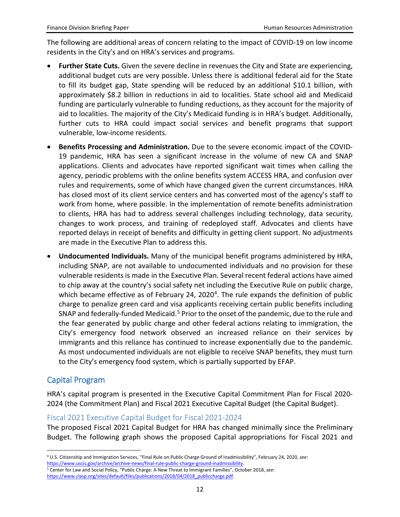The following are additional areas of concern relating to the impact of COVID-19 on low income residents in the City's and on HRA's services and programs.

- **Further State Cuts.** Given the severe decline in revenues the City and State are experiencing, additional budget cuts are very possible. Unless there is additional federal aid for the State to fill its budget gap, State spending will be reduced by an additional \$10.1 billion, with approximately \$8.2 billion in reductions in aid to localities. State school aid and Medicaid funding are particularly vulnerable to funding reductions, as they account for the majority of aid to localities. The majority of the City's Medicaid funding is in HRA's budget. Additionally, further cuts to HRA could impact social services and benefit programs that support vulnerable, low-income residents.
- **Benefits Processing and Administration.** Due to the severe economic impact of the COVID-19 pandemic, HRA has seen a significant increase in the volume of new CA and SNAP applications. Clients and advocates have reported significant wait times when calling the agency, periodic problems with the online benefits system ACCESS HRA, and confusion over rules and requirements, some of which have changed given the current circumstances. HRA has closed most of its client service centers and has converted most of the agency's staff to work from home, where possible. In the implementation of remote benefits administration to clients, HRA has had to address several challenges including technology, data security, changes to work process, and training of redeployed staff. Advocates and clients have reported delays in receipt of benefits and difficulty in getting client support. No adjustments are made in the Executive Plan to address this.
- **Undocumented Individuals.** Many of the municipal benefit programs administered by HRA, including SNAP, are not available to undocumented individuals and no provision for these vulnerable residents is made in the Executive Plan. Several recent federal actions have aimed to chip away at the country's social safety net including the Executive Rule on public charge, which became effective as of February 2[4](#page-12-0), 2020<sup>4</sup>. The rule expands the definition of public charge to penalize green card and visa applicants receiving certain public benefits including SNAP and federally-funded Medicaid.<sup>[5](#page-12-1)</sup> Prior to the onset of the pandemic, due to the rule and the fear generated by public charge and other federal actions relating to immigration, the City's emergency food network observed an increased reliance on their services by immigrants and this reliance has continued to increase exponentially due to the pandemic. As most undocumented individuals are not eligible to receive SNAP benefits, they must turn to the City's emergency food system, which is partially supported by EFAP.

# Capital Program

HRA's capital program is presented in the Executive Capital Commitment Plan for Fiscal 2020- 2024 (the Commitment Plan) and Fiscal 2021 Executive Capital Budget (the Capital Budget).

#### Fiscal 2021 Executive Capital Budget for Fiscal 2021-2024

The proposed Fiscal 2021 Capital Budget for HRA has changed minimally since the Preliminary Budget. The following graph shows the proposed Capital appropriations for Fiscal 2021 and

 <sup>4</sup> U.S. Citizenship and Immigration Services, "Final Rule on Public Charge Ground of Inadmissibility", February 24, 2020, *see*:

<span id="page-12-0"></span>[https://www.uscis.gov/archive/archive-news/final-rule-public-charge-ground-inadmissibility.](https://www.uscis.gov/archive/archive-news/final-rule-public-charge-ground-inadmissibility) 5 Center for Law and Social Policy, "Public Charge: A New Threat to Immigrant Families", October 2018, *see*:

<span id="page-12-1"></span>[https://www.clasp.org/sites/default/files/publications/2018/04/2018\\_publiccharge.pdf.](https://www.clasp.org/sites/default/files/publications/2018/04/2018_publiccharge.pdf)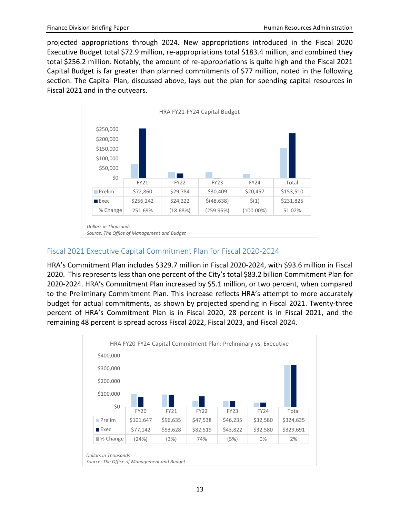projected appropriations through 2024. New appropriations introduced in the Fiscal 2020 Executive Budget total \$72.9 million, re-appropriations total \$183.4 million, and combined they total \$256.2 million. Notably, the amount of re-appropriations is quite high and the Fiscal 2021 Capital Budget is far greater than planned commitments of \$77 million, noted in the following section. The Capital Plan, discussed above, lays out the plan for spending capital resources in Fiscal 2021 and in the outyears.



#### Fiscal 2021 Executive Capital Commitment Plan for Fiscal 2020-2024

HRA's Commitment Plan includes \$329.7 million in Fiscal 2020-2024, with \$93.6 million in Fiscal 2020. This represents less than one percent of the City's total \$83.2 billion Commitment Plan for 2020-2024. HRA's Commitment Plan increased by \$5.1 million, or two percent, when compared to the Preliminary Commitment Plan. This increase reflects HRA's attempt to more accurately budget for actual commitments, as shown by projected spending in Fiscal 2021. Twenty-three percent of HRA's Commitment Plan is in Fiscal 2020, 28 percent is in Fiscal 2021, and the remaining 48 percent is spread across Fiscal 2022, Fiscal 2023, and Fiscal 2024.

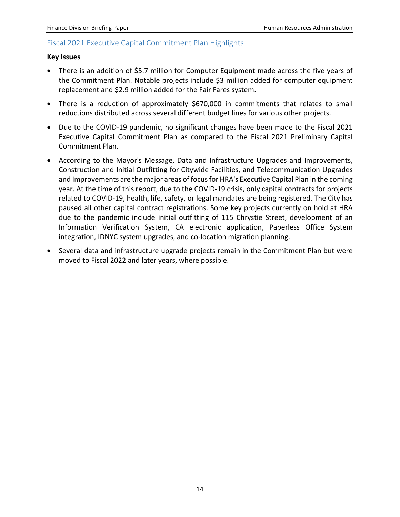#### Fiscal 2021 Executive Capital Commitment Plan Highlights

#### **Key Issues**

- There is an addition of \$5.7 million for Computer Equipment made across the five years of the Commitment Plan. Notable projects include \$3 million added for computer equipment replacement and \$2.9 million added for the Fair Fares system.
- There is a reduction of approximately \$670,000 in commitments that relates to small reductions distributed across several different budget lines for various other projects.
- Due to the COVID-19 pandemic, no significant changes have been made to the Fiscal 2021 Executive Capital Commitment Plan as compared to the Fiscal 2021 Preliminary Capital Commitment Plan.
- According to the Mayor's Message, Data and Infrastructure Upgrades and Improvements, Construction and Initial Outfitting for Citywide Facilities, and Telecommunication Upgrades and Improvements are the major areas of focus for HRA's Executive Capital Plan in the coming year. At the time of this report, due to the COVID-19 crisis, only capital contracts for projects related to COVID-19, health, life, safety, or legal mandates are being registered. The City has paused all other capital contract registrations. Some key projects currently on hold at HRA due to the pandemic include initial outfitting of 115 Chrystie Street, development of an Information Verification System, CA electronic application, Paperless Office System integration, IDNYC system upgrades, and co-location migration planning.
- Several data and infrastructure upgrade projects remain in the Commitment Plan but were moved to Fiscal 2022 and later years, where possible.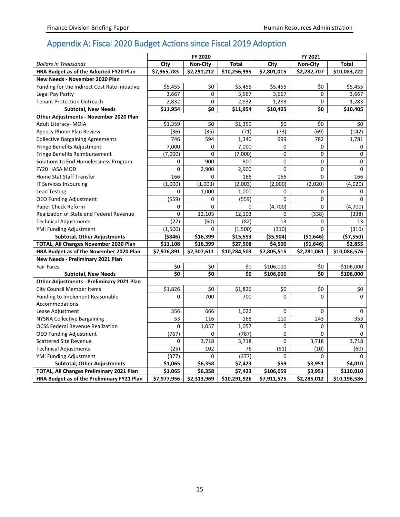# Appendix A: Fiscal 2020 Budget Actions since Fiscal 2019 Adoption

|                                               | FY 2020     |                 |              | FY 2021     |                 |              |  |
|-----------------------------------------------|-------------|-----------------|--------------|-------------|-----------------|--------------|--|
| <b>Dollars in Thousands</b>                   | City        | <b>Non-City</b> | <b>Total</b> | City        | <b>Non-City</b> | Total        |  |
| HRA Budget as of the Adopted FY20 Plan        | \$7,965,783 | \$2,291,212     | \$10,256,995 | \$7,801,015 | \$2,282,707     | \$10,083,722 |  |
| New Needs - November 2020 Plan                |             |                 |              |             |                 |              |  |
| Funding for the Indirect Cost Rate Initiative | \$5,455     | \$0             | \$5,455      | \$5,455     | \$0             | \$5,455      |  |
| Legal Pay Parity                              | 3,667       | 0               | 3,667        | 3,667       | $\mathbf 0$     | 3,667        |  |
| <b>Tenant Protection Outreach</b>             | 2,832       | 0               | 2,832        | 1,283       | 0               | 1,283        |  |
| <b>Subtotal, New Needs</b>                    | \$11,954    | \$0             | \$11,954     | \$10,405    | \$0             | \$10,405     |  |
| Other Adjustments - November 2020 Plan        |             |                 |              |             |                 |              |  |
| Adult Literacy- MOIA                          | \$1,359     | \$0             | \$1,359      | \$0         | \$0             | \$0          |  |
| <b>Agency Phone Plan Review</b>               | (36)        | (35)            | (71)         | (73)        | (69)            | (142)        |  |
| <b>Collective Bargaining Agreements</b>       | 746         | 594             | 1,340        | 999         | 782             | 1,781        |  |
| Fringe Benefits Adjustment                    | 7,000       | 0               | 7,000        | 0           | 0               | 0            |  |
| Fringe Benefits Reimbursement                 | (7,000)     | 0               | (7,000)      | $\mathbf 0$ | 0               | 0            |  |
| Solutions to End Homelessness Program         | 0           | 900             | 900          | $\pmb{0}$   | 0               | 0            |  |
| FY20 HASA MOD                                 | 0           | 2,900           | 2,900        | 0           | 0               | 0            |  |
| <b>Home Stat Staff Transfer</b>               | 166         | 0               | 166          | 166         | 0               | 166          |  |
| IT Services Insourcing                        | (1,000)     | (1,003)         | (2,003)      | (2,000)     | (2,020)         | (4,020)      |  |
| <b>Lead Testing</b>                           | 0           | 1,000           | 1,000        | $\mathbf 0$ | 0               | 0            |  |
| <b>OEO Funding Adjustment</b>                 | (559)       | 0               | (559)        | $\mathbf 0$ | 0               | $\Omega$     |  |
| Paper Check Reform                            | 0           | 0               | 0            | (4,700)     | 0               | (4,700)      |  |
| Realization of State and Federal Revenue      | 0           | 12,103          | 12,103       | 0           | (338)           | (338)        |  |
| <b>Technical Adjustments</b>                  | (22)        | (60)            | (82)         | 13          | $\Omega$        | 13           |  |
| YMI Funding Adjustment                        | (1,500)     | 0               | (1,500)      | (310)       | 0               | (310)        |  |
| <b>Subtotal, Other Adjustments</b>            | (\$846)     | \$16,399        | \$15,553     | ( \$5,904)  | ( \$1,646)      | (\$7,550)    |  |
| TOTAL, All Changes November 2020 Plan         | \$11,108    | \$16,399        | \$27,508     | \$4,500     | (51,646)        | \$2,855      |  |
| HRA Budget as of the November 2020 Plan       | \$7,976,891 | \$2,307,611     | \$10,284,503 | \$7,805,515 | \$2,281,061     | \$10,086,576 |  |
| New Needs - Preliminary 2021 Plan             |             |                 |              |             |                 |              |  |
| <b>Fair Fares</b>                             | \$0         | \$0             | \$0          | \$106,000   | \$0             | \$106,000    |  |
| <b>Subtotal, New Needs</b>                    | \$0         | \$0             | \$0          | \$106,000   | \$0             | \$106,000    |  |
| Other Adjustments - Preliminary 2021 Plan     |             |                 |              |             |                 |              |  |
| <b>City Council Member Items</b>              | \$1,826     | \$0             | \$1,826      | \$0         | \$0             | \$0          |  |
| Funding to Implement Reasonable               | 0           | 700             | 700          | $\mathbf 0$ | $\Omega$        | $\Omega$     |  |
| Accommodations                                |             |                 |              |             |                 |              |  |
| Lease Adjustment                              | 356         | 666             | 1,022        | 0           | 0               | 0            |  |
| <b>NYSNA Collective Bargaining</b>            | 53          | 116             | 168          | 110         | 243             | 353          |  |
| <b>OCSS Federal Revenue Realization</b>       | $\mathbf 0$ | 1,057           | 1,057        | $\mathbf 0$ | 0               | 0            |  |
| <b>OEO Funding Adjustment</b>                 | (767)       | 0               | (767)        | $\mathbf 0$ | 0               | $\Omega$     |  |
| <b>Scattered Site Revenue</b>                 | 0           | 3,718           | 3,718        | $\mathbf 0$ | 3,718           | 3,718        |  |
| <b>Technical Adjustments</b>                  | (25)        | 102             | 76           | (51)        | (10)            | (60)         |  |
| <b>YMI Funding Adjustment</b>                 | (377)       | 0               | (377)        | 0           | 0               | 0            |  |
| <b>Subtotal, Other Adjustments</b>            | \$1,065     | \$6,358         | \$7,423      | \$59        | \$3,951         | \$4,010      |  |
| TOTAL, All Changes Preliminary 2021 Plan      | \$1,065     | \$6,358         | \$7,423      | \$106,059   | \$3,951         | \$110,010    |  |
| HRA Budget as of the Preliminary FY21 Plan    | \$7,977,956 | \$2,313,969     | \$10,291,926 | \$7,911,575 | \$2,285,012     | \$10,196,586 |  |